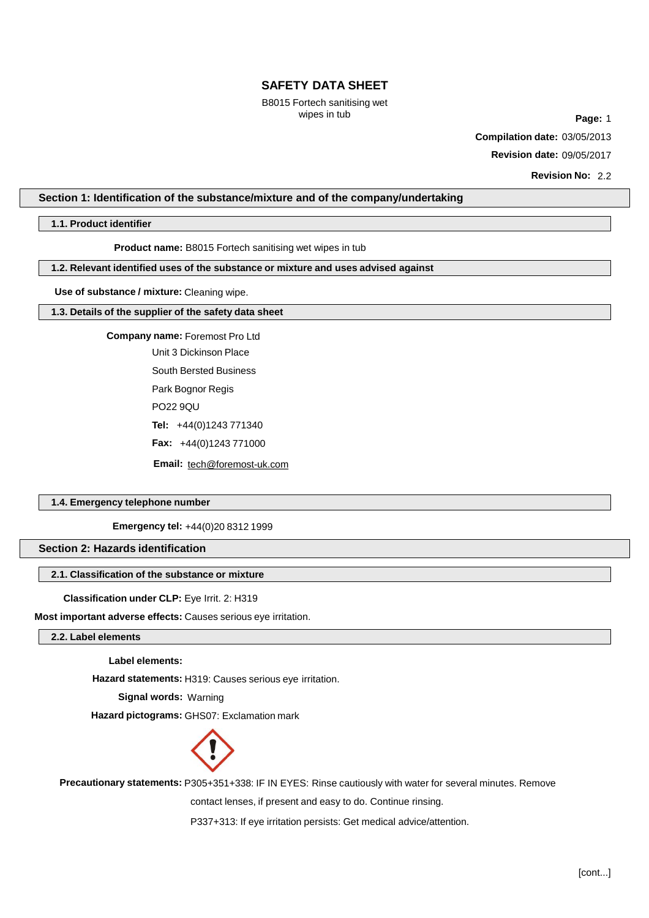B8015 Fortech sanitising wet

wipes in tub **Page:** 1 **Compilation date:** 03/05/2013 **Revision date:** 09/05/2017

**Revision No:** 2.2

# **Section 1: Identification of the substance/mixture and of the company/undertaking**

**1.1. Product identifier**

**Product name:** B8015 Fortech sanitising wet wipes in tub

# **1.2. Relevant identified uses of the substance or mixture and uses advised against**

**Use of substance / mixture:** Cleaning wipe.

#### **1.3. Details of the supplier of the safety data sheet**

**Company name:** Foremost Pro Ltd Unit 3 Dickinson Place South Bersted Business Park Bognor Regis PO22 9QU **Tel:** +44(0)1243 771340 **Fax:** +44(0)1243 771000 **Email:** tech@foremost-uk.com

# **1.4. Emergency telephone number**

**Emergency tel:** +44(0)20 8312 1999

# **Section 2: Hazards identification**

# **2.1. Classification of the substance or mixture**

**Classification under CLP:** Eye Irrit. 2: H319

**Most important adverse effects:** Causes serious eye irritation.

# **2.2. Label elements**

**Label elements:**

**Hazard statements:** H319: Causes serious eye irritation.

**Signal words:** Warning

**Hazard pictograms:** GHS07: Exclamation mark



**Precautionary statements:** P305+351+338: IF IN EYES: Rinse cautiously with water for several minutes. Remove

contact lenses, if present and easy to do. Continue rinsing.

P337+313: If eye irritation persists: Get medical advice/attention.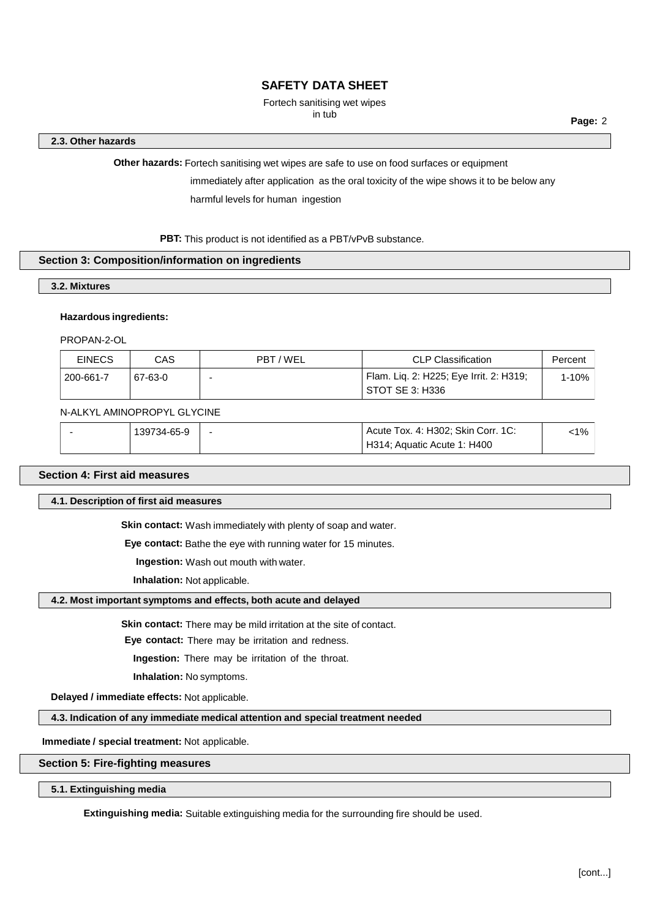# Fortech sanitising wet wipes<br>in tub

in tub **Page:** <sup>2</sup>

## **2.3. Other hazards**

**Other hazards:** Fortech sanitising wet wipes are safe to use on food surfaces or equipment

immediately after application as the oral toxicity of the wipe shows it to be below any harmful levels for human ingestion

PBT: This product is not identified as a PBT/vPvB substance.

## **Section 3: Composition/information on ingredients**

**3.2. Mixtures**

# **Hazardous ingredients:**

PROPAN-2-OL

| <b>EINECS</b> | CAS     | PBT/WEL | <b>CLP Classification</b>                                  | Percent |
|---------------|---------|---------|------------------------------------------------------------|---------|
| 200-661-7     | 67-63-0 |         | Flam. Lig. 2: H225; Eye Irrit. 2: H319;<br>STOT SE 3: H336 | 1-10%   |

# N-ALKYL AMINOPROPYL GLYCINE

| 139734-65-9 | $\sim$ | Acute Tox. 4: H302; Skin Corr. 1C: | <1% |
|-------------|--------|------------------------------------|-----|
|             |        | H314; Aquatic Acute 1: H400        |     |

# **Section 4: First aid measures**

**4.1. Description of first aid measures**

**Skin contact:** Wash immediately with plenty of soap and water.

**Eye contact:** Bathe the eye with running water for 15 minutes.

**Ingestion:** Wash out mouth with water.

**Inhalation:** Not applicable.

# **4.2. Most important symptoms and effects, both acute and delayed**

**Skin contact:** There may be mild irritation at the site of contact.

**Eye contact:** There may be irritation and redness.

**Ingestion:** There may be irritation of the throat.

**Inhalation:** No symptoms.

**Delayed / immediate effects:** Not applicable.

**4.3. Indication of any immediate medical attention and special treatment needed**

**Immediate / special treatment:** Not applicable.

# **Section 5: Fire-fighting measures**

**5.1. Extinguishing media**

**Extinguishing media:** Suitable extinguishing media for the surrounding fire should be used.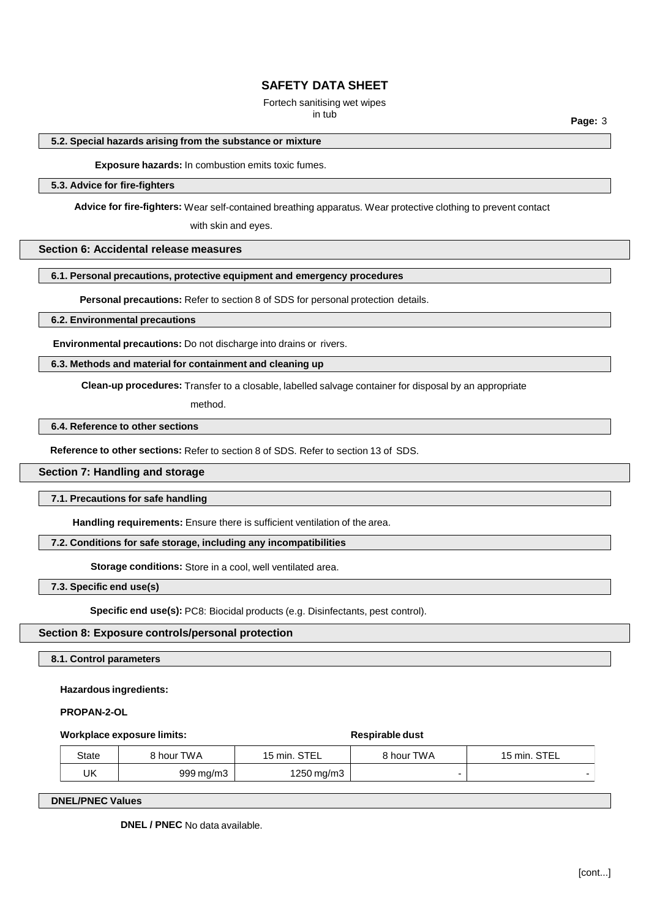# Fortech sanitising wet wipes

in tub **Page:** <sup>3</sup>

# **5.2. Special hazards arising from the substance or mixture**

## **Exposure hazards:** In combustion emits toxic fumes.

## **5.3. Advice for fire-fighters**

**Advice for fire-fighters:** Wear self-contained breathing apparatus. Wear protective clothing to prevent contact

with skin and eyes.

# **Section 6: Accidental release measures**

# **6.1. Personal precautions, protective equipment and emergency procedures**

**Personal precautions:** Refer to section 8 of SDS for personal protection details.

### **6.2. Environmental precautions**

**Environmental precautions:** Do not discharge into drains or rivers.

# **6.3. Methods and material for containment and cleaning up**

**Clean-up procedures:** Transfer to a closable, labelled salvage container for disposal by an appropriate

method.

## **6.4. Reference to other sections**

**Reference to other sections:** Refer to section 8 of SDS. Refer to section 13 of SDS.

## **Section 7: Handling and storage**

#### **7.1. Precautions for safe handling**

**Handling requirements:** Ensure there is sufficient ventilation of the area.

# **7.2. Conditions for safe storage, including any incompatibilities**

**Storage conditions:** Store in a cool, well ventilated area.

### **7.3. Specific end use(s)**

**Specific end use(s):** PC8: Biocidal products (e.g. Disinfectants, pest control).

## **Section 8: Exposure controls/personal protection**

**8.1. Control parameters**

#### **Hazardous ingredients:**

### **PROPAN-2-OL**

#### **Workplace exposure limits:**  $\bullet$  **Respirable** dust

# State | 8 hour TWA | 15 min. STEL | 8 hour TWA | 15 min. STEL  $UK$  999 mg/m3  $1250$  mg/m3

**DNEL/PNEC Values**

**DNEL / PNEC** No data available.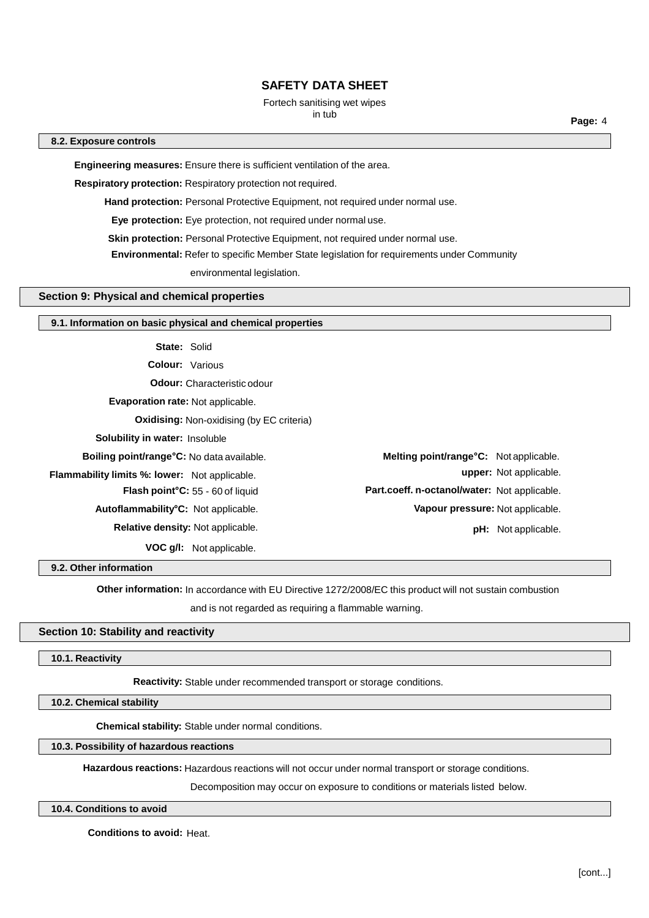# Fortech sanitising wet wipes

in tub **Page:** <sup>4</sup>

# **8.2. Exposure controls**

**Engineering measures:** Ensure there is sufficient ventilation of the area.

**Respiratory protection:** Respiratory protection not required.

**Hand protection:** Personal Protective Equipment, not required under normal use.

**Eye protection:** Eye protection, not required under normal use.

**Skin protection:** Personal Protective Equipment, not required under normal use.

**Environmental:** Refer to specific Member State legislation for requirements under Community

environmental legislation.

# **Section 9: Physical and chemical properties**

## **9.1. Information on basic physical and chemical properties**

**State:** Solid

**Colour:** Various

**Odour:** Characteristic odour

**Evaporation rate:** Not applicable.

**Oxidising:** Non-oxidising (by EC criteria)

**Solubility in water:** Insoluble

**Boiling point/range°C:** No data available.

**Flammability limits %: lower:** Not applicable.

**Flash point°C:** 55 - 60 of liquid

**Autoflammability°C:** Not applicable.

**Relative density:** Not applicable.

**VOC g/l:** Not applicable.

**Melting point/range°C:** Not applicable. **upper:** Not applicable. **Part.coeff. n-octanol/water:** Not applicable. **Vapour pressure:** Not applicable. **pH:** Not applicable.

**9.2. Other information**

**Other information:** In accordance with EU Directive 1272/2008/EC this product will not sustain combustion

and is not regarded as requiring a flammable warning.

# **Section 10: Stability and reactivity**

## **10.1. Reactivity**

**Reactivity:** Stable under recommended transport or storage conditions.

**10.2. Chemical stability**

**Chemical stability:** Stable under normal conditions.

# **10.3. Possibility of hazardous reactions**

**Hazardous reactions:** Hazardous reactions will not occur under normal transport or storage conditions.

Decomposition may occur on exposure to conditions or materials listed below.

## **10.4. Conditions to avoid**

**Conditions to avoid:** Heat.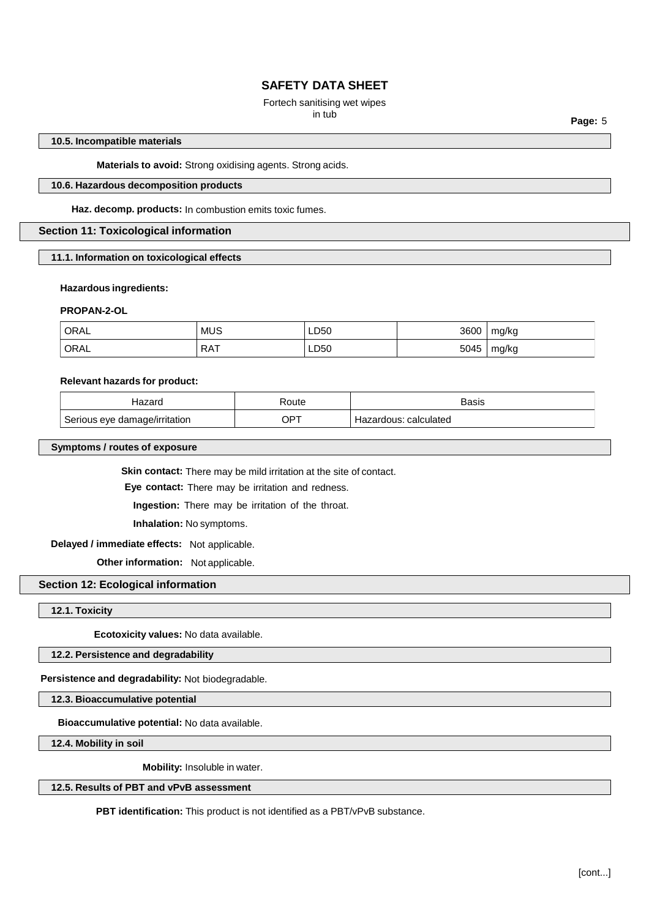# Fortech sanitising wet wipes<br>in tub

in tub **Page:** <sup>5</sup>

## **10.5. Incompatible materials**

**Materials to avoid:** Strong oxidising agents. Strong acids.

# **10.6. Hazardous decomposition products**

**Haz. decomp. products:** In combustion emits toxic fumes.

# **Section 11: Toxicological information**

**11.1. Information on toxicological effects**

## **Hazardous ingredients:**

## **PROPAN-2-OL**

| ORAL<br>___ | <b>MUS</b>      | LD50 | 3600 | mg/kg |
|-------------|-----------------|------|------|-------|
| ORAL        | <b>RAT</b><br>. | LD50 | 5045 | mg/kg |

#### **Relevant hazards for product:**

| 2725<br>Tazary                | oute? | Basis                     |
|-------------------------------|-------|---------------------------|
| Serious eye damage/irritation | JPT   | calculated<br><b>JOHS</b> |

# **Symptoms / routes of exposure**

**Skin contact:** There may be mild irritation at the site of contact.

**Eye contact:** There may be irritation and redness.

**Ingestion:** There may be irritation of the throat.

**Inhalation:** No symptoms.

## **Delayed / immediate effects:** Not applicable.

**Other information:** Not applicable.

## **Section 12: Ecological information**

**12.1. Toxicity**

**Ecotoxicity values:** No data available.

# **12.2. Persistence and degradability**

**Persistence and degradability:** Not biodegradable.

**12.3. Bioaccumulative potential**

**Bioaccumulative potential:** No data available.

**12.4. Mobility in soil**

**Mobility:** Insoluble in water.

# **12.5. Results of PBT and vPvB assessment**

**PBT identification:** This product is not identified as a PBT/vPvB substance.